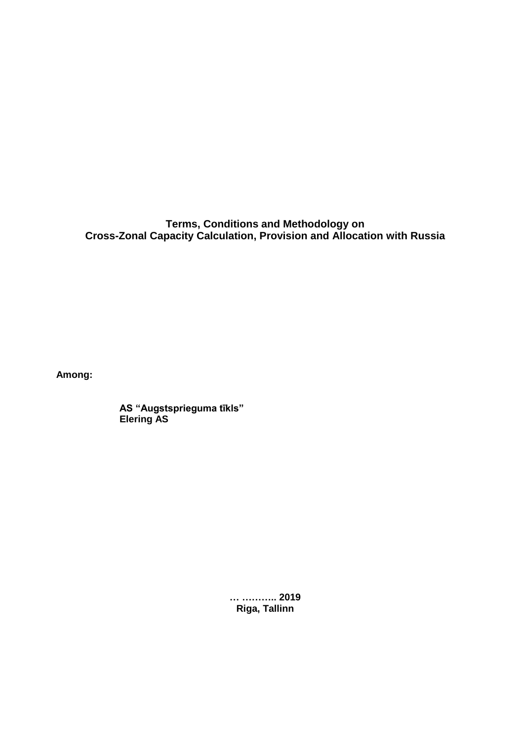**Terms, Conditions and Methodology on Cross-Zonal Capacity Calculation, Provision and Allocation with Russia**

**Among:**

**AS "Augstsprieguma tīkls" Elering AS**

> **… ……….. 2019 Riga, Tallinn**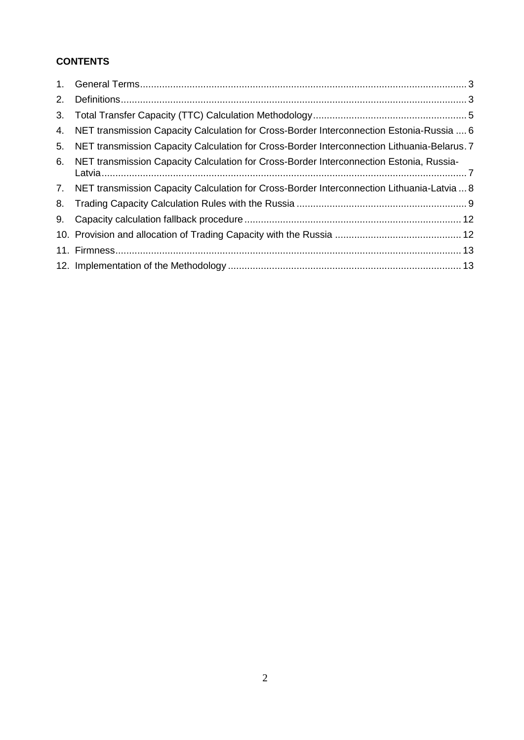# **CONTENTS**

| 2. |                                                                                               |
|----|-----------------------------------------------------------------------------------------------|
| 3. |                                                                                               |
| 4. | NET transmission Capacity Calculation for Cross-Border Interconnection Estonia-Russia  6      |
| 5. | NET transmission Capacity Calculation for Cross-Border Interconnection Lithuania-Belarus. 7   |
| 6. | NET transmission Capacity Calculation for Cross-Border Interconnection Estonia, Russia-       |
|    | 7. NET transmission Capacity Calculation for Cross-Border Interconnection Lithuania-Latvia  8 |
| 8. |                                                                                               |
| 9. |                                                                                               |
|    |                                                                                               |
|    |                                                                                               |
|    |                                                                                               |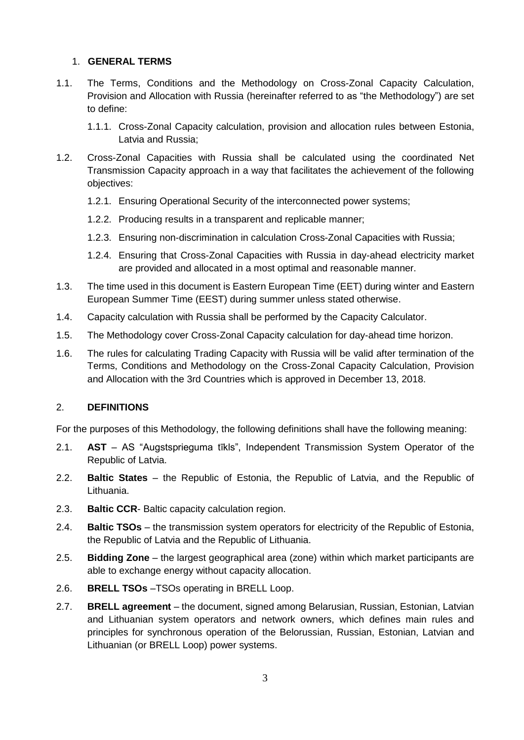# <span id="page-2-0"></span>1. **GENERAL TERMS**

- 1.1. The Terms, Conditions and the Methodology on Cross-Zonal Capacity Calculation, Provision and Allocation with Russia (hereinafter referred to as "the Methodology") are set to define:
	- 1.1.1. Cross-Zonal Capacity calculation, provision and allocation rules between Estonia, Latvia and Russia;
- 1.2. Cross-Zonal Capacities with Russia shall be calculated using the coordinated Net Transmission Capacity approach in a way that facilitates the achievement of the following objectives:
	- 1.2.1. Ensuring Operational Security of the interconnected power systems;
	- 1.2.2. Producing results in a transparent and replicable manner;
	- 1.2.3. Ensuring non-discrimination in calculation Cross-Zonal Capacities with Russia;
	- 1.2.4. Ensuring that Cross-Zonal Capacities with Russia in day-ahead electricity market are provided and allocated in a most optimal and reasonable manner.
- 1.3. The time used in this document is Eastern European Time (EET) during winter and Eastern European Summer Time (EEST) during summer unless stated otherwise.
- 1.4. Capacity calculation with Russia shall be performed by the Capacity Calculator.
- 1.5. The Methodology cover Cross-Zonal Capacity calculation for day-ahead time horizon.
- 1.6. The rules for calculating Trading Capacity with Russia will be valid after termination of the Terms, Conditions and Methodology on the Cross-Zonal Capacity Calculation, Provision and Allocation with the 3rd Countries which is approved in December 13, 2018.

# <span id="page-2-1"></span>2. **DEFINITIONS**

For the purposes of this Methodology, the following definitions shall have the following meaning:

- 2.1. **AST**  AS "Augstsprieguma tīkls", Independent Transmission System Operator of the Republic of Latvia.
- 2.2. **Baltic States** the Republic of Estonia, the Republic of Latvia, and the Republic of Lithuania.
- 2.3. **Baltic CCR** Baltic capacity calculation region.
- 2.4. **Baltic TSOs** the transmission system operators for electricity of the Republic of Estonia, the Republic of Latvia and the Republic of Lithuania.
- 2.5. **Bidding Zone** the largest geographical area (zone) within which market participants are able to exchange energy without capacity allocation.
- 2.6. **BRELL TSOs** –TSOs operating in BRELL Loop.
- 2.7. **BRELL agreement**  the document, signed among Belarusian, Russian, Estonian, Latvian and Lithuanian system operators and network owners, which defines main rules and principles for synchronous operation of the Belorussian, Russian, Estonian, Latvian and Lithuanian (or BRELL Loop) power systems.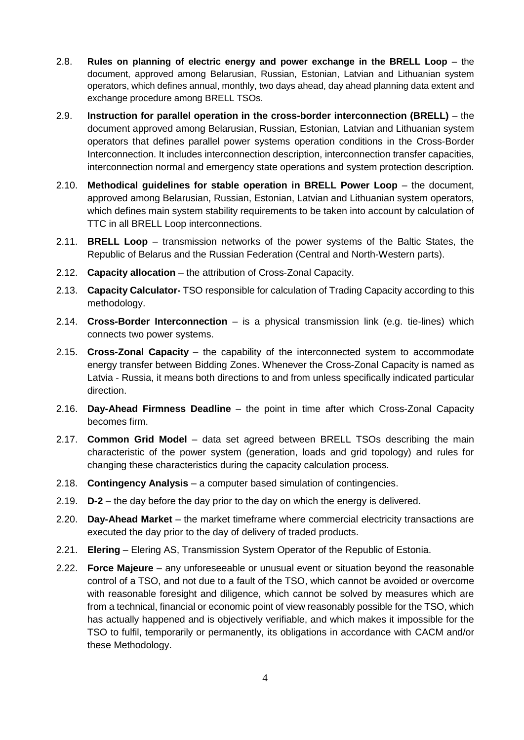- 2.8. **Rules on planning of electric energy and power exchange in the BRELL Loop** the document, approved among Belarusian, Russian, Estonian, Latvian and Lithuanian system operators, which defines annual, monthly, two days ahead, day ahead planning data extent and exchange procedure among BRELL TSOs.
- 2.9. **Instruction for parallel operation in the cross-border interconnection (BRELL)** the document approved among Belarusian, Russian, Estonian, Latvian and Lithuanian system operators that defines parallel power systems operation conditions in the Cross-Border Interconnection. It includes interconnection description, interconnection transfer capacities, interconnection normal and emergency state operations and system protection description.
- 2.10. **Methodical guidelines for stable operation in BRELL Power Loop** the document, approved among Belarusian, Russian, Estonian, Latvian and Lithuanian system operators, which defines main system stability requirements to be taken into account by calculation of TTC in all BRELL Loop interconnections.
- 2.11. **BRELL Loop** transmission networks of the power systems of the Baltic States, the Republic of Belarus and the Russian Federation (Central and North-Western parts).
- 2.12. **Capacity allocation**  the attribution of Cross-Zonal Capacity.
- 2.13. **Capacity Calculator-** TSO responsible for calculation of Trading Capacity according to this methodology.
- 2.14. **Cross-Border Interconnection**  is a physical transmission link (e.g. tie-lines) which connects two power systems.
- 2.15. **[Cross-Zonal Capacity](https://emr.entsoe.eu/glossary/bin/view/CustomizationsCode/Term?termID=772cfb21%2D1cff%2D4c7d%2Da0ea%2D61f01b32cd96)** the capability of the interconnected system to accommodate energy transfer between Bidding Zones. Whenever the Cross-Zonal Capacity is named as Latvia - Russia, it means both directions to and from unless specifically indicated particular direction.
- 2.16. **Day-Ahead Firmness Deadline** the point in time after which Cross-Zonal Capacity becomes firm.
- 2.17. **Common Grid Model**  data set agreed between BRELL TSOs describing the main characteristic of the power system (generation, loads and grid topology) and rules for changing these characteristics during the capacity calculation process.
- 2.18. **Contingency Analysis**  a computer based simulation of contingencies.
- 2.19. **D-2** the day before the day prior to the day on which the energy is delivered.
- 2.20. **Day-Ahead Market** the market timeframe where commercial electricity transactions are executed the day prior to the day of delivery of traded products.
- 2.21. **Elering**  Elering AS, Transmission System Operator of the Republic of Estonia.
- 2.22. **Force Majeure**  any unforeseeable or unusual event or situation beyond the reasonable control of a TSO, and not due to a fault of the TSO, which cannot be avoided or overcome with reasonable foresight and diligence, which cannot be solved by measures which are from a technical, financial or economic point of view reasonably possible for the TSO, which has actually happened and is objectively verifiable, and which makes it impossible for the TSO to fulfil, temporarily or permanently, its obligations in accordance with CACM and/or these Methodology.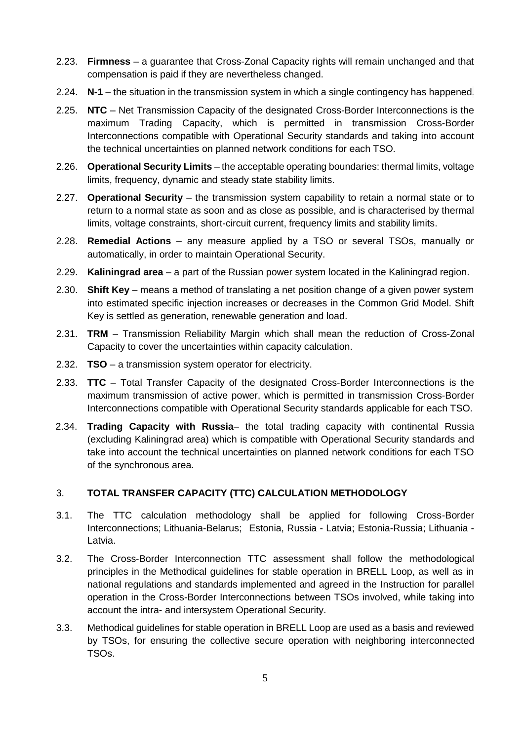- 2.23. **Firmness** a guarantee that Cross-Zonal Capacity rights will remain unchanged and that compensation is paid if they are nevertheless changed.
- 2.24. **N-1**  the situation in the transmission system in which a single contingency has happened.
- 2.25. **NTC** Net Transmission Capacity of the designated Cross-Border Interconnections is the maximum Trading Capacity, which is permitted in transmission Cross-Border Interconnections compatible with Operational Security standards and taking into account the technical uncertainties on planned network conditions for each TSO.
- 2.26. **Operational Security Limits** the acceptable operating boundaries: thermal limits, voltage limits, frequency, dynamic and steady state stability limits.
- 2.27. **Operational Security**  the transmission system capability to retain a normal state or to return to a normal state as soon and as close as possible, and is characterised by thermal limits, voltage constraints, short-circuit current, frequency limits and stability limits.
- 2.28. **Remedial Actions**  any measure applied by a TSO or several TSOs, manually or automatically, in order to maintain Operational Security.
- 2.29. **Kaliningrad area** a part of the Russian power system located in the Kaliningrad region.
- 2.30. **Shift Key** means a method of translating a net position change of a given power system into estimated specific injection increases or decreases in the Common Grid Model. Shift Key is settled as generation, renewable generation and load.
- 2.31. **TRM** Transmission Reliability Margin which shall mean the reduction of Cross-Zonal Capacity to cover the uncertainties within capacity calculation.
- 2.32. **TSO** a transmission system operator for electricity.
- 2.33. **TTC**  Total Transfer Capacity of the designated Cross-Border Interconnections is the maximum transmission of active power, which is permitted in transmission Cross-Border Interconnections compatible with Operational Security standards applicable for each TSO.
- 2.34. **Trading Capacity with Russia** the total trading capacity with continental Russia (excluding Kaliningrad area) which is compatible with Operational Security standards and take into account the technical uncertainties on planned network conditions for each TSO of the synchronous area.

# <span id="page-4-0"></span>3. **TOTAL TRANSFER CAPACITY (TTC) CALCULATION METHODOLOGY**

- 3.1. The TTC calculation methodology shall be applied for following Cross-Border Interconnections; Lithuania-Belarus; Estonia, Russia - Latvia; Estonia-Russia; Lithuania - Latvia.
- 3.2. The Cross-Border Interconnection TTC assessment shall follow the methodological principles in the Methodical guidelines for stable operation in BRELL Loop, as well as in national regulations and standards implemented and agreed in the Instruction for parallel operation in the Cross-Border Interconnections between TSOs involved, while taking into account the intra- and intersystem Operational Security.
- 3.3. Methodical guidelines for stable operation in BRELL Loop are used as a basis and reviewed by TSOs, for ensuring the collective secure operation with neighboring interconnected TSOs.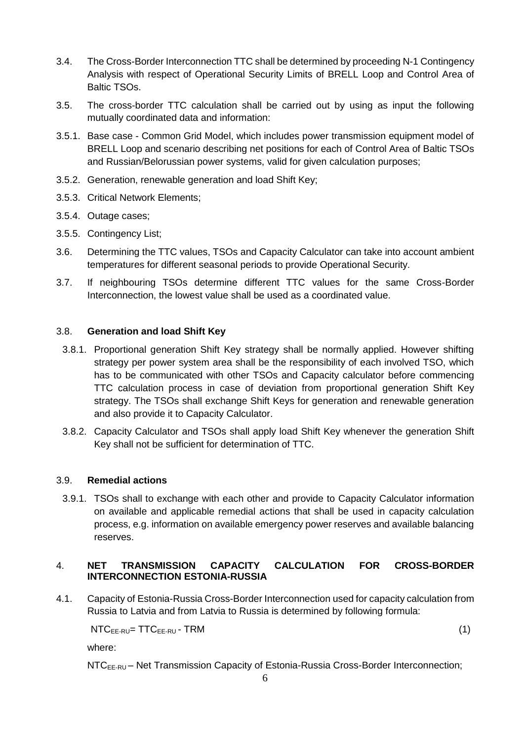- 3.4. The Cross-Border Interconnection TTC shall be determined by proceeding N-1 Contingency Analysis with respect of Operational Security Limits of BRELL Loop and Control Area of Baltic TSOs.
- 3.5. The cross-border TTC calculation shall be carried out by using as input the following mutually coordinated data and information:
- 3.5.1. Base case Common Grid Model, which includes power transmission equipment model of BRELL Loop and scenario describing net positions for each of Control Area of Baltic TSOs and Russian/Belorussian power systems, valid for given calculation purposes;
- 3.5.2. Generation, renewable generation and load Shift Key;
- 3.5.3. Critical Network Elements;
- 3.5.4. Outage cases;
- 3.5.5. Contingency List;
- 3.6. Determining the TTC values, TSOs and Capacity Calculator can take into account ambient temperatures for different seasonal periods to provide Operational Security.
- 3.7. If neighbouring TSOs determine different TTC values for the same Cross-Border Interconnection, the lowest value shall be used as a coordinated value.

### 3.8. **Generation and load Shift Key**

- 3.8.1. Proportional generation Shift Key strategy shall be normally applied. However shifting strategy per power system area shall be the responsibility of each involved TSO, which has to be communicated with other TSOs and Capacity calculator before commencing TTC calculation process in case of deviation from proportional generation Shift Key strategy. The TSOs shall exchange Shift Keys for generation and renewable generation and also provide it to Capacity Calculator.
- 3.8.2. Capacity Calculator and TSOs shall apply load Shift Key whenever the generation Shift Key shall not be sufficient for determination of TTC.

### 3.9. **Remedial actions**

3.9.1. TSOs shall to exchange with each other and provide to Capacity Calculator information on available and applicable remedial actions that shall be used in capacity calculation process, e.g. information on available emergency power reserves and available balancing reserves.

## <span id="page-5-0"></span>4. **NET TRANSMISSION CAPACITY CALCULATION FOR CROSS-BORDER INTERCONNECTION ESTONIA-RUSSIA**

4.1. Capacity of Estonia-Russia Cross-Border Interconnection used for capacity calculation from Russia to Latvia and from Latvia to Russia is determined by following formula:

 $NTC_{EE-RU} = TTC_{EE-RU} - TRM$  (1)

where:

 $NTC_{EE-RU}$  – Net Transmission Capacity of Estonia-Russia Cross-Border Interconnection;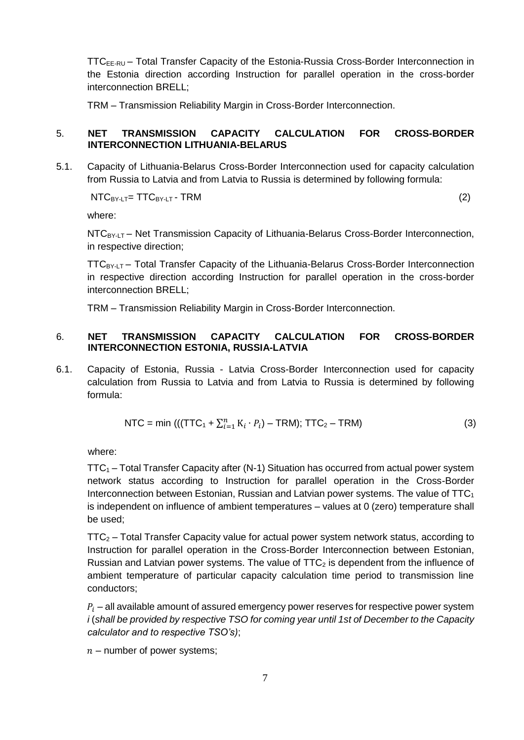$TTC_{EE-RU}$  – Total Transfer Capacity of the Estonia-Russia Cross-Border Interconnection in the Estonia direction according Instruction for parallel operation in the cross-border interconnection BRELL;

TRM – Transmission Reliability Margin in Cross-Border Interconnection.

# <span id="page-6-0"></span>5. **NET TRANSMISSION CAPACITY CALCULATION FOR CROSS-BORDER INTERCONNECTION LITHUANIA-BELARUS**

5.1. Capacity of Lithuania-Belarus Cross-Border Interconnection used for capacity calculation from Russia to Latvia and from Latvia to Russia is determined by following formula:

 $NTC_{\text{BY-LT}} = TTC_{\text{BY-LT}} - TRM$  (2)

where:

 $NTC_{BY-LT}$  – Net Transmission Capacity of Lithuania-Belarus Cross-Border Interconnection, in respective direction;

 $TTC_{BY-LT}$  – Total Transfer Capacity of the Lithuania-Belarus Cross-Border Interconnection in respective direction according Instruction for parallel operation in the cross-border interconnection BRELL;

TRM – Transmission Reliability Margin in Cross-Border Interconnection.

# <span id="page-6-1"></span>6. **NET TRANSMISSION CAPACITY CALCULATION FOR CROSS-BORDER INTERCONNECTION ESTONIA, RUSSIA-LATVIA**

6.1. Capacity of Estonia, Russia - Latvia Cross-Border Interconnection used for capacity calculation from Russia to Latvia and from Latvia to Russia is determined by following formula:

$$
NTC = min (( (TTC1 + \sum_{i=1}^{n} K_i \cdot P_i) - TRM); TTC2 - TRM)
$$
 (3)

where:

 $TTC<sub>1</sub> - Total Transfer Capacity after (N-1) Situation has occurred from actual power system$ network status according to Instruction for parallel operation in the Cross-Border Interconnection between Estonian, Russian and Latvian power systems. The value of  $TTC_1$ is independent on influence of ambient temperatures – values at 0 (zero) temperature shall be used;

 $TTC_2 - Total Transfer Capacity value for actual power system network status, according to$ Instruction for parallel operation in the Cross-Border Interconnection between Estonian, Russian and Latvian power systems. The value of  $TTC<sub>2</sub>$  is dependent from the influence of ambient temperature of particular capacity calculation time period to transmission line conductors;

 $P_i$  – all available amount of assured emergency power reserves for respective power system *i* (*shall be provided by respective TSO for coming year until 1st of December to the Capacity calculator and to respective TSO's)*;

 $n-$  number of power systems;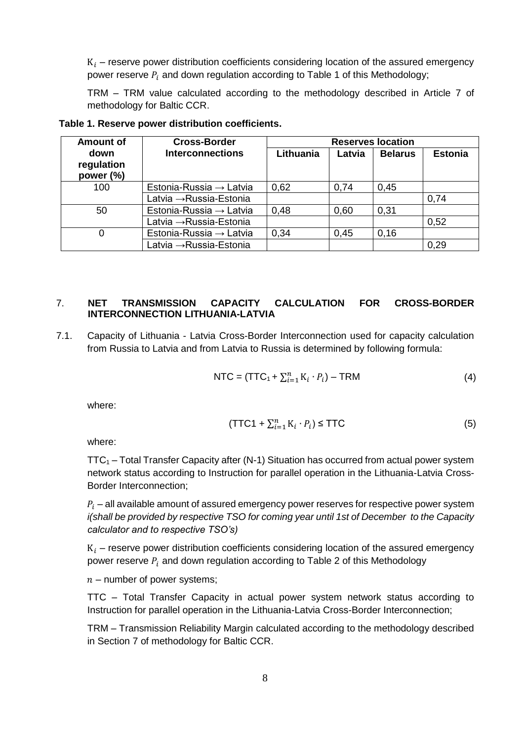$K_i$  – reserve power distribution coefficients considering location of the assured emergency power reserve  $P_i$  and down regulation according to Table 1 of this Methodology;

TRM – TRM value calculated according to the methodology described in Article 7 of methodology for Baltic CCR.

| <b>Amount of</b>                | <b>Cross-Border</b>                 | <b>Reserves location</b> |        |                |                |  |
|---------------------------------|-------------------------------------|--------------------------|--------|----------------|----------------|--|
| down<br>regulation<br>power (%) | <b>Interconnections</b>             | Lithuania                | Latvia | <b>Belarus</b> | <b>Estonia</b> |  |
| 100                             | Estonia-Russia → Latvia             | 0,62                     | 0,74   | 0,45           |                |  |
|                                 | Latvia $\rightarrow$ Russia-Estonia |                          |        |                | 0.74           |  |
| 50                              | Estonia-Russia $\rightarrow$ Latvia | 0.48                     | 0,60   | 0,31           |                |  |
|                                 | Latvia → Russia-Estonia             |                          |        |                | 0,52           |  |
| 0                               | Estonia-Russia $\rightarrow$ Latvia | 0.34                     | 0,45   | 0,16           |                |  |
|                                 | Latvia $\rightarrow$ Russia-Estonia |                          |        |                | 0.29           |  |

#### **Table 1. Reserve power distribution coefficients.**

### <span id="page-7-0"></span>7. **NET TRANSMISSION CAPACITY CALCULATION FOR CROSS-BORDER INTERCONNECTION LITHUANIA-LATVIA**

7.1. Capacity of Lithuania - Latvia Cross-Border Interconnection used for capacity calculation from Russia to Latvia and from Latvia to Russia is determined by following formula:

$$
NTC = (TTC1 + \sum_{i=1}^{n} K_i \cdot P_i) - TRM
$$
 (4)

where:

$$
(\text{TTC1} + \sum_{i=1}^{n} \mathbf{K}_i \cdot P_i) \le \text{TTC}
$$
 (5)

where:

 $TTC_1 - Total Transfer Capacity after (N-1) Situation has occurred from actual power system$ network status according to Instruction for parallel operation in the Lithuania-Latvia Cross-Border Interconnection;

 $P_i$  – all available amount of assured emergency power reserves for respective power system *i(shall be provided by respective TSO for coming year until 1st of December to the Capacity calculator and to respective TSO's)*

 $K_i$  – reserve power distribution coefficients considering location of the assured emergency power reserve  $P_i$  and down regulation according to Table 2 of this Methodology

 $n-$  number of power systems;

TTC – Total Transfer Capacity in actual power system network status according to Instruction for parallel operation in the Lithuania-Latvia Cross-Border Interconnection;

TRM – Transmission Reliability Margin calculated according to the methodology described in Section 7 of methodology for Baltic CCR.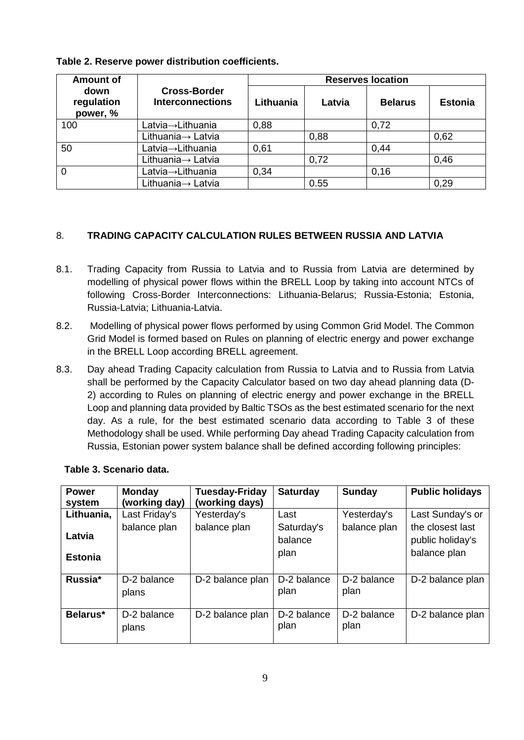| <b>Amount of</b>               |                                                | <b>Reserves location</b> |        |                |                |  |
|--------------------------------|------------------------------------------------|--------------------------|--------|----------------|----------------|--|
| down<br>regulation<br>power, % | <b>Cross-Border</b><br><b>Interconnections</b> | Lithuania                | Latvia | <b>Belarus</b> | <b>Estonia</b> |  |
| 100                            | Latvia→Lithuania                               | 0,88                     |        | 0,72           |                |  |
|                                | Lithuania→ Latvia                              |                          | 0,88   |                | 0,62           |  |
| 50                             | Latvia→Lithuania                               | 0,61                     |        | 0.44           |                |  |
|                                | Lithuania $\rightarrow$ Latvia                 |                          | 0,72   |                | 0,46           |  |
| 0                              | Latvia→Lithuania                               | 0.34                     |        | 0,16           |                |  |
|                                | Lithuania→ Latvia                              |                          | 0.55   |                | 0,29           |  |

**Table 2. Reserve power distribution coefficients.**

## <span id="page-8-0"></span>8. **TRADING CAPACITY CALCULATION RULES BETWEEN RUSSIA AND LATVIA**

- 8.1. Trading Capacity from Russia to Latvia and to Russia from Latvia are determined by modelling of physical power flows within the BRELL Loop by taking into account NTCs of following Cross-Border Interconnections: Lithuania-Belarus; Russia-Estonia; Estonia, Russia-Latvia; Lithuania-Latvia.
- 8.2. Modelling of physical power flows performed by using Common Grid Model. The Common Grid Model is formed based on Rules on planning of electric energy and power exchange in the BRELL Loop according BRELL agreement.
- 8.3. Day ahead Trading Capacity calculation from Russia to Latvia and to Russia from Latvia shall be performed by the Capacity Calculator based on two day ahead planning data (D-2) according to Rules on planning of electric energy and power exchange in the BRELL Loop and planning data provided by Baltic TSOs as the best estimated scenario for the next day. As a rule, for the best estimated scenario data according to Table 3 of these Methodology shall be used. While performing Day ahead Trading Capacity calculation from Russia, Estonian power system balance shall be defined according following principles:

| <b>Power</b><br>system | <b>Monday</b><br>(working day) | <b>Tuesday-Friday</b><br>(working days) | <b>Saturday</b>               | <b>Sunday</b>       | <b>Public holidays</b>                               |
|------------------------|--------------------------------|-----------------------------------------|-------------------------------|---------------------|------------------------------------------------------|
| Lithuania,             | Last Friday's                  | Yesterday's                             | Last                          | Yesterday's         | Last Sunday's or                                     |
| Latvia                 | balance plan                   | balance plan                            | Saturday's<br>balance<br>plan | balance plan        | the closest last<br>public holiday's<br>balance plan |
| <b>Estonia</b>         |                                |                                         |                               |                     |                                                      |
| Russia*                | D-2 balance<br>plans           | D-2 balance plan                        | D-2 balance<br>plan           | D-2 balance<br>plan | D-2 balance plan                                     |
| Belarus*               | D-2 balance<br>plans           | D-2 balance plan                        | D-2 balance<br>plan           | D-2 balance<br>plan | D-2 balance plan                                     |

### **Table 3. Scenario data.**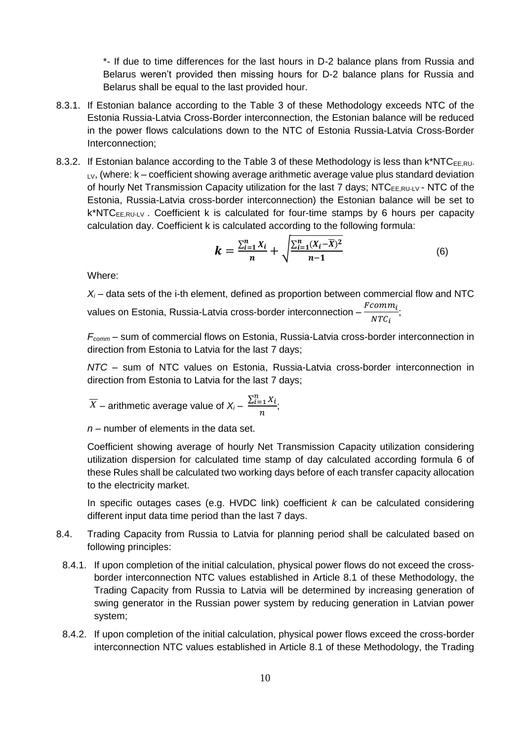\*- If due to time differences for the last hours in D-2 balance plans from Russia and Belarus weren't provided then missing hours for D-2 balance plans for Russia and Belarus shall be equal to the last provided hour.

- 8.3.1. If Estonian balance according to the Table 3 of these Methodology exceeds NTC of the Estonia Russia-Latvia Cross-Border interconnection, the Estonian balance will be reduced in the power flows calculations down to the NTC of Estonia Russia-Latvia Cross-Border Interconnection;
- 8.3.2. If Estonian balance according to the Table 3 of these Methodology is less than  $k^*NTC_{EERU-}$  $_{\text{LV}}$ , (where: k – coefficient showing average arithmetic average value plus standard deviation of hourly Net Transmission Capacity utilization for the last 7 days;  $NTC_{EERU-LV}$  - NTC of the Estonia, Russia-Latvia cross-border interconnection) the Estonian balance will be set to  $k^*NTC_{EE,RU-LV}$ . Coefficient k is calculated for four-time stamps by 6 hours per capacity calculation day. Coefficient k is calculated according to the following formula:

$$
k = \frac{\sum_{i=1}^{n} X_i}{n} + \sqrt{\frac{\sum_{i=1}^{n} (X_i - \overline{X})^2}{n-1}}
$$
(6)

Where:

*X<sup>i</sup>* – data sets of the i-th element, defined as proportion between commercial flow and NTC values on Estonia, Russia-Latvia cross-border interconnection –  $\frac{Fcomm_i}{Nm.c}$  $NTC_i$ ;

*Fcomm* – sum of commercial flows on Estonia, Russia-Latvia cross-border interconnection in direction from Estonia to Latvia for the last 7 days;

*NTC* – sum of NTC values on Estonia, Russia-Latvia cross-border interconnection in direction from Estonia to Latvia for the last 7 days;

$$
\overline{X}
$$
 – arithmetic average value of  $X_i - \frac{\sum_{i=1}^{n} X_i}{n}$ ;

*n* – number of elements in the data set.

Coefficient showing average of hourly Net Transmission Capacity utilization considering utilization dispersion for calculated time stamp of day calculated according formula 6 of these Rules shall be calculated two working days before of each transfer capacity allocation to the electricity market.

In specific outages cases (e.g. HVDC link) coefficient *k* can be calculated considering different input data time period than the last 7 days.

- 8.4. Trading Capacity from Russia to Latvia for planning period shall be calculated based on following principles:
- 8.4.1. If upon completion of the initial calculation, physical power flows do not exceed the crossborder interconnection NTC values established in Article 8.1 of these Methodology, the Trading Capacity from Russia to Latvia will be determined by increasing generation of swing generator in the Russian power system by reducing generation in Latvian power system;
- 8.4.2. If upon completion of the initial calculation, physical power flows exceed the cross-border interconnection NTC values established in Article 8.1 of these Methodology, the Trading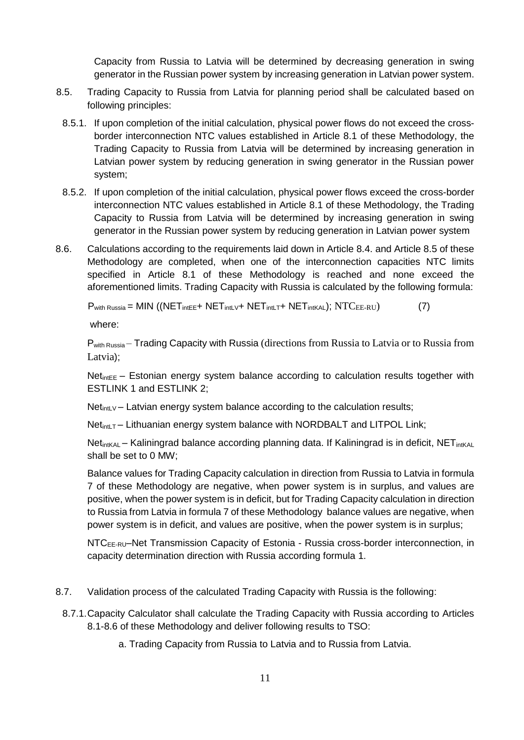Capacity from Russia to Latvia will be determined by decreasing generation in swing generator in the Russian power system by increasing generation in Latvian power system.

- 8.5. Trading Capacity to Russia from Latvia for planning period shall be calculated based on following principles:
- 8.5.1. If upon completion of the initial calculation, physical power flows do not exceed the crossborder interconnection NTC values established in Article 8.1 of these Methodology, the Trading Capacity to Russia from Latvia will be determined by increasing generation in Latvian power system by reducing generation in swing generator in the Russian power system;
- 8.5.2. If upon completion of the initial calculation, physical power flows exceed the cross-border interconnection NTC values established in Article 8.1 of these Methodology, the Trading Capacity to Russia from Latvia will be determined by increasing generation in swing generator in the Russian power system by reducing generation in Latvian power system
- 8.6. Calculations according to the requirements laid down in Article 8.4. and Article 8.5 of these Methodology are completed, when one of the interconnection capacities NTC limits specified in Article 8.1 of these Methodology is reached and none exceed the aforementioned limits. Trading Capacity with Russia is calculated by the following formula:

 $P_{with \text{ Russia}} = MIN ((NET_{intEE} + NET_{intLV} + NET_{intLT} + NET_{intKAL}); NTC_{EE-RU})$  (7)

where:

Pwith Russia – Trading Capacity with Russia (directions from Russia to Latvia or to Russia from Latvia);

 $Net_{intEE}$  – Estonian energy system balance according to calculation results together with ESTLINK 1 and ESTLINK 2;

Net<sub>intLV</sub> – Latvian energy system balance according to the calculation results;

Net<sub>intLT</sub> – Lithuanian energy system balance with NORDBALT and LITPOL Link;

Net<sub>intKAL</sub> – Kaliningrad balance according planning data. If Kaliningrad is in deficit, NET<sub>intKAL</sub> shall be set to 0 MW;

Balance values for Trading Capacity calculation in direction from Russia to Latvia in formula 7 of these Methodology are negative, when power system is in surplus, and values are positive, when the power system is in deficit, but for Trading Capacity calculation in direction to Russia from Latvia in formula 7 of these Methodology balance values are negative, when power system is in deficit, and values are positive, when the power system is in surplus;

NTC<sub>EE-RU</sub>-Net Transmission Capacity of Estonia - Russia cross-border interconnection, in capacity determination direction with Russia according formula 1.

- 8.7. Validation process of the calculated Trading Capacity with Russia is the following:
	- 8.7.1.Capacity Calculator shall calculate the Trading Capacity with Russia according to Articles 8.1-8.6 of these Methodology and deliver following results to TSO:
		- a. Trading Capacity from Russia to Latvia and to Russia from Latvia.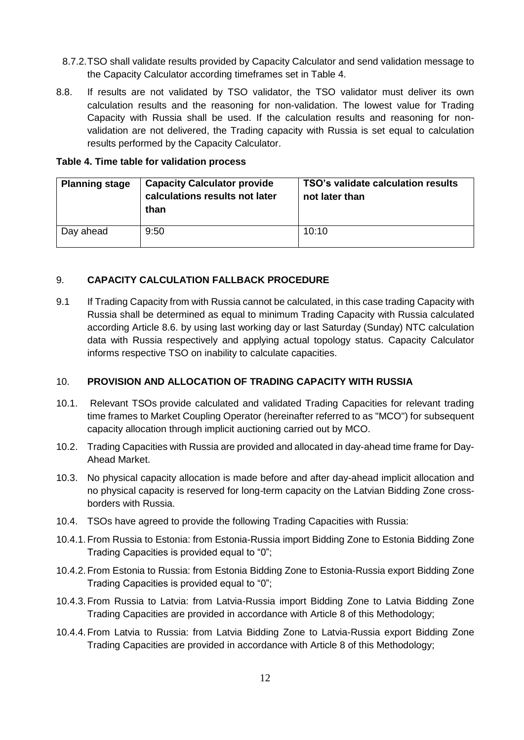- 8.7.2.TSO shall validate results provided by Capacity Calculator and send validation message to the Capacity Calculator according timeframes set in Table 4.
- 8.8. If results are not validated by TSO validator, the TSO validator must deliver its own calculation results and the reasoning for non-validation. The lowest value for Trading Capacity with Russia shall be used. If the calculation results and reasoning for nonvalidation are not delivered, the Trading capacity with Russia is set equal to calculation results performed by the Capacity Calculator.

|  |  | Table 4. Time table for validation process |  |
|--|--|--------------------------------------------|--|
|  |  |                                            |  |

| <b>Planning stage</b> | <b>Capacity Calculator provide</b><br>calculations results not later<br>than | TSO's validate calculation results<br>not later than |
|-----------------------|------------------------------------------------------------------------------|------------------------------------------------------|
| Day ahead             | 9:50                                                                         | 10:10                                                |

### <span id="page-11-0"></span>9. **CAPACITY CALCULATION FALLBACK PROCEDURE**

9.1 If Trading Capacity from with Russia cannot be calculated, in this case trading Capacity with Russia shall be determined as equal to minimum Trading Capacity with Russia calculated according Article 8.6. by using last working day or last Saturday (Sunday) NTC calculation data with Russia respectively and applying actual topology status. Capacity Calculator informs respective TSO on inability to calculate capacities.

#### <span id="page-11-1"></span>10. **PROVISION AND ALLOCATION OF TRADING CAPACITY WITH RUSSIA**

- 10.1. Relevant TSOs provide calculated and validated Trading Capacities for relevant trading time frames to Market Coupling Operator (hereinafter referred to as "MCO") for subsequent capacity allocation through implicit auctioning carried out by MCO.
- 10.2. Trading Capacities with Russia are provided and allocated in day-ahead time frame for Day-Ahead Market.
- 10.3. No physical capacity allocation is made before and after day-ahead implicit allocation and no physical capacity is reserved for long-term capacity on the Latvian Bidding Zone crossborders with Russia.
- 10.4. TSOs have agreed to provide the following Trading Capacities with Russia:
- 10.4.1. From Russia to Estonia: from Estonia-Russia import Bidding Zone to Estonia Bidding Zone Trading Capacities is provided equal to "0";
- 10.4.2. From Estonia to Russia: from Estonia Bidding Zone to Estonia-Russia export Bidding Zone Trading Capacities is provided equal to "0";
- 10.4.3. From Russia to Latvia: from Latvia-Russia import Bidding Zone to Latvia Bidding Zone Trading Capacities are provided in accordance with Article 8 of this Methodology;
- 10.4.4. From Latvia to Russia: from Latvia Bidding Zone to Latvia-Russia export Bidding Zone Trading Capacities are provided in accordance with Article 8 of this Methodology;